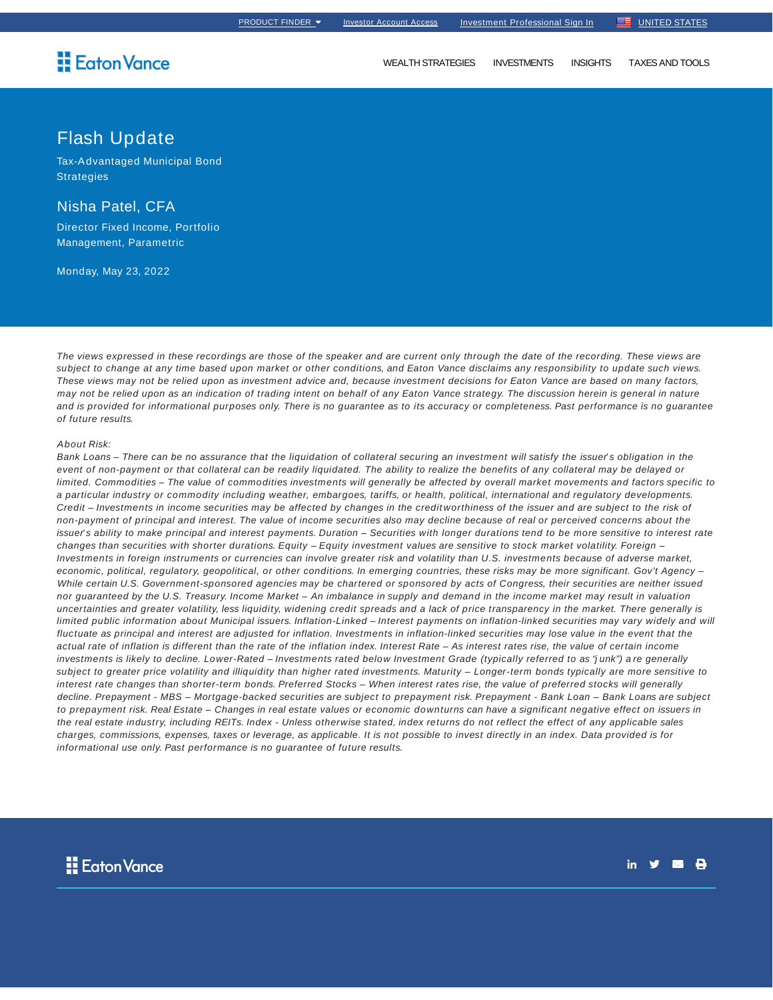## **H** Eaton Vance

## Flash Update

Tax-Advantaged Municipal Bond **Strategies** 

## Nisha Patel, CFA

Director Fixed Income, Portfolio Management, Parametric

Monday, May 23, 2022

The views expressed in these recordings are those of the speaker and are current only through the date of the recording. These views are subject to change at any time based upon market or other conditions, and Eaton Vance disclaims any responsibility to update such views. These views may not be relied upon as investment advice and, because investment decisions for Eaton Vance are based on many factors, may not be relied upon as an indication of trading intent on behalf of any Eaton Vance strategy. The discussion herein is general in nature and is provided for informational purposes only. There is no guarantee as to its accuracy or completeness. Past performance is no guarantee of future results.

## About Risk:

Bank Loans – There can be no assurance that the liquidation of collateral securing an investment will satisfy the issuer's obligation in the event of non-payment or that collateral can be readily liquidated. The ability to realize the benefits of any collateral may be delayed or limited. Commodities – The value of commodities investments will generally be affected by overall market movements and factors specific to a particular industry or commodity including weather, embargoes, tariffs, or health, political, international and regulatory developments. Credit – Investments in income securities may be affected by changes in the creditworthiness of the issuer and are subject to the risk of non-payment of principal and interest. The value of income securities also may decline because of real or perceived concerns about the issuer's ability to make principal and interest payments. Duration - Securities with longer durations tend to be more sensitive to interest rate changes than securities with shorter durations. Equity – Equity investment values are sensitive to stock market volatility. Foreign -Investments in foreign instruments or currencies can involve greater risk and volatility than U.S. investments because of adverse market, economic, political, regulatory, geopolitical, or other conditions. In emerging countries, these risks may be more significant. Gov't Agency – While certain U.S. Government-sponsored agencies may be chartered or sponsored by acts of Congress, their securities are neither issued nor guaranteed by the U.S. Treasury. Income Market – An imbalance in supply and demand in the income market may result in valuation uncertainties and greater volatility, less liquidity, widening credit spreads and a lack of price transparency in the market. There generally is limited public information about Municipal issuers. Inflation-Linked – Interest payments on inflation-linked securities may vary widely and will fluctuate as principal and interest are adjusted for inflation. Investments in inflation-linked securities may lose value in the event that the actual rate of inflation is different than the rate of the inflation index. Interest Rate – As interest rates rise, the value of certain income investments is likely to decline. Lower-Rated – Investments rated below Investment Grade (typically referred to as "j unk") a re generally subject to greater price volatility and illiquidity than higher rated investments. Maturity – Longer-term bonds typically are more sensitive to interest rate changes than shorter-term bonds. Preferred Stocks – When interest rates rise, the value of preferred stocks will generally decline. Prepayment - MBS – Mortgage-backed securities are subject to prepayment risk. Prepayment - Bank Loan – Bank Loans are subject to prepayment risk. Real Estate – Changes in real estate values or economic downturns can have a significant negative effect on issuers in the real estate industry, including REITs. Index - Unless otherwise stated, index returns do not reflect the effect of any applicable sales charges, commissions, expenses, taxes or leverage, as applicable. It is not possible to invest directly in an index. Data provided is for informational use only. Past performance is no guarantee of future results.

- 8